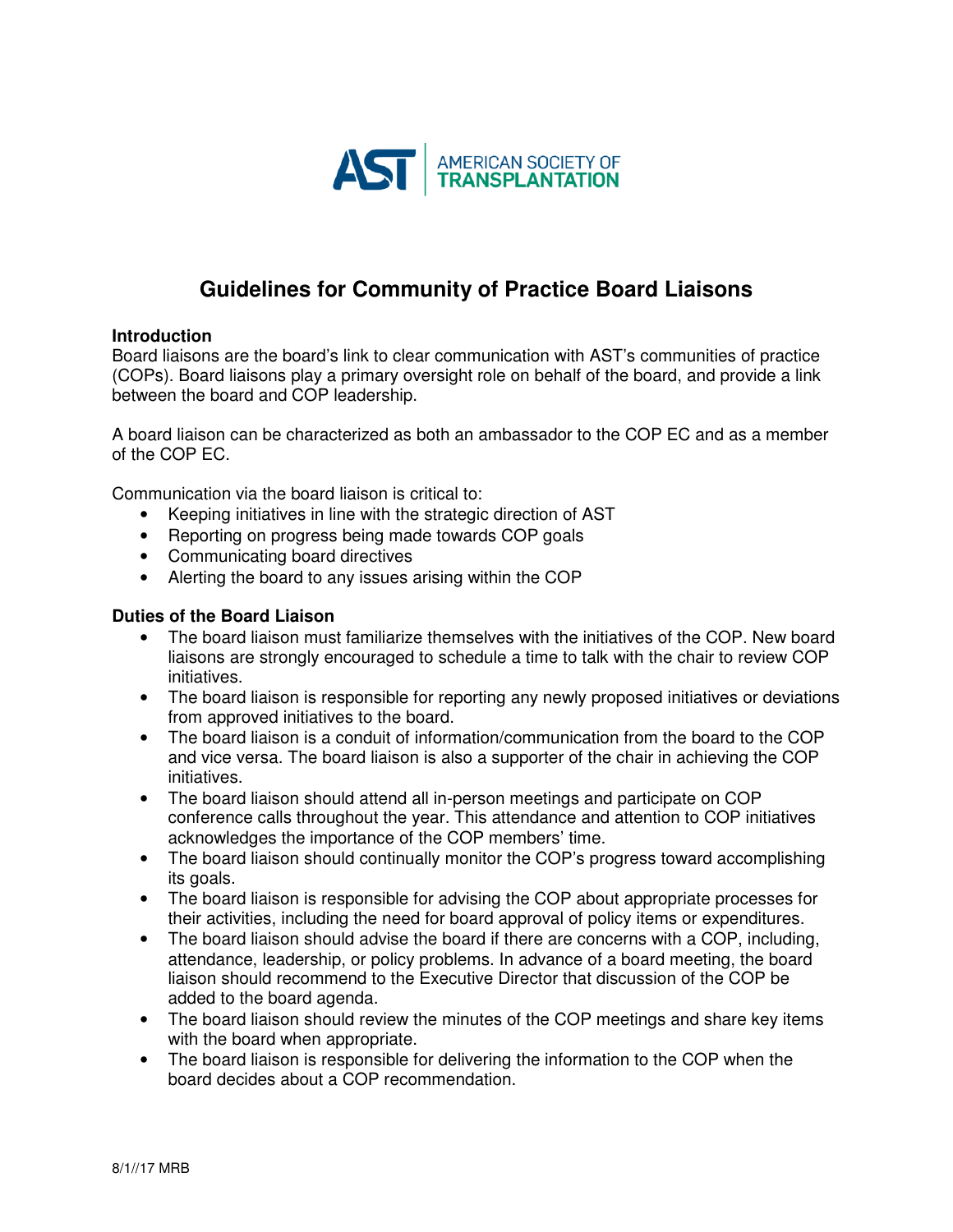

# **Guidelines for Community of Practice Board Liaisons**

#### **Introduction**

Board liaisons are the board's link to clear communication with AST's communities of practice (COPs). Board liaisons play a primary oversight role on behalf of the board, and provide a link between the board and COP leadership.

A board liaison can be characterized as both an ambassador to the COP EC and as a member of the COP EC.

Communication via the board liaison is critical to:

- Keeping initiatives in line with the strategic direction of AST
- Reporting on progress being made towards COP goals
- Communicating board directives
- Alerting the board to any issues arising within the COP

#### **Duties of the Board Liaison**

- The board liaison must familiarize themselves with the initiatives of the COP. New board liaisons are strongly encouraged to schedule a time to talk with the chair to review COP initiatives.
- The board liaison is responsible for reporting any newly proposed initiatives or deviations from approved initiatives to the board.
- The board liaison is a conduit of information/communication from the board to the COP and vice versa. The board liaison is also a supporter of the chair in achieving the COP initiatives.
- The board liaison should attend all in-person meetings and participate on COP conference calls throughout the year. This attendance and attention to COP initiatives acknowledges the importance of the COP members' time.
- The board liaison should continually monitor the COP's progress toward accomplishing its goals.
- The board liaison is responsible for advising the COP about appropriate processes for their activities, including the need for board approval of policy items or expenditures.
- The board liaison should advise the board if there are concerns with a COP, including, attendance, leadership, or policy problems. In advance of a board meeting, the board liaison should recommend to the Executive Director that discussion of the COP be added to the board agenda.
- The board liaison should review the minutes of the COP meetings and share key items with the board when appropriate.
- The board liaison is responsible for delivering the information to the COP when the board decides about a COP recommendation.